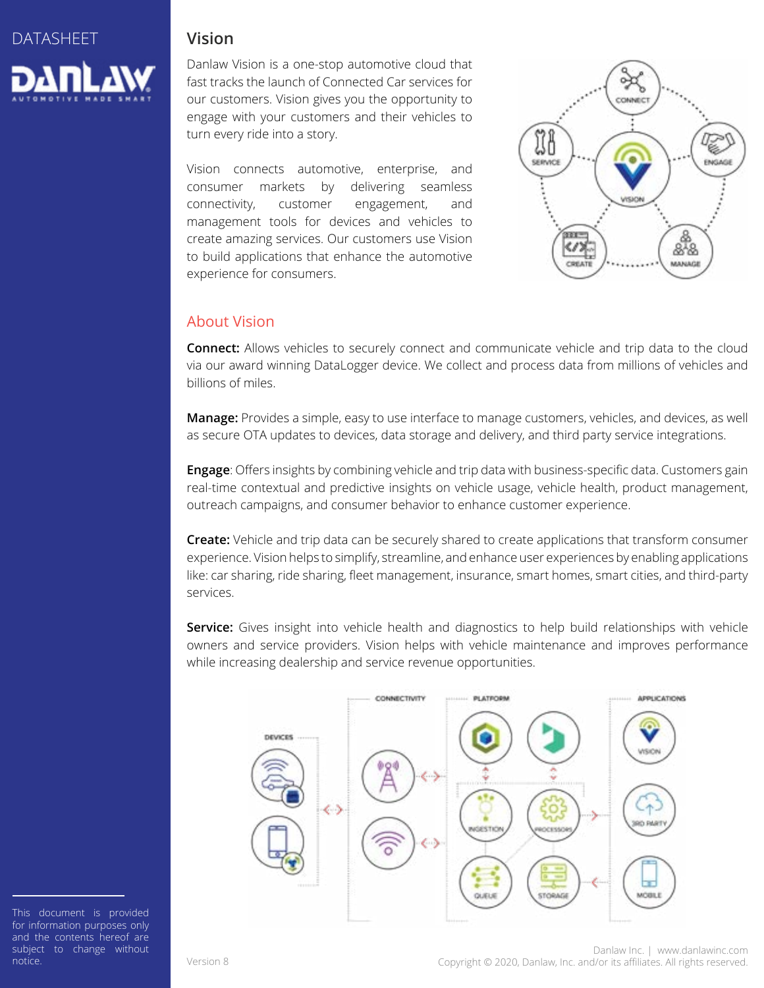

#### **Vision**

Danlaw Vision is a one-stop automotive cloud that fast tracks the launch of Connected Car services for our customers. Vision gives you the opportunity to engage with your customers and their vehicles to turn every ride into a story.

Vision connects automotive, enterprise, and consumer markets by delivering seamless connectivity, customer engagement, and management tools for devices and vehicles to create amazing services. Our customers use Vision to build applications that enhance the automotive experience for consumers.



### About Vision

**Connect:** Allows vehicles to securely connect and communicate vehicle and trip data to the cloud via our award winning DataLogger device. We collect and process data from millions of vehicles and billions of miles.

**Manage:** Provides a simple, easy to use interface to manage customers, vehicles, and devices, as well as secure OTA updates to devices, data storage and delivery, and third party service integrations.

**Engage**: Offers insights by combining vehicle and trip data with business-specific data. Customers gain real-time contextual and predictive insights on vehicle usage, vehicle health, product management, outreach campaigns, and consumer behavior to enhance customer experience.

**Create:** Vehicle and trip data can be securely shared to create applications that transform consumer experience. Vision helps to simplify, streamline, and enhance user experiences by enabling applications like: car sharing, ride sharing, fleet management, insurance, smart homes, smart cities, and third-party services.

**Service:** Gives insight into vehicle health and diagnostics to help build relationships with vehicle owners and service providers. Vision helps with vehicle maintenance and improves performance while increasing dealership and service revenue opportunities.



This document is provided for information purposes only and the contents hereof are subject to change without notice.